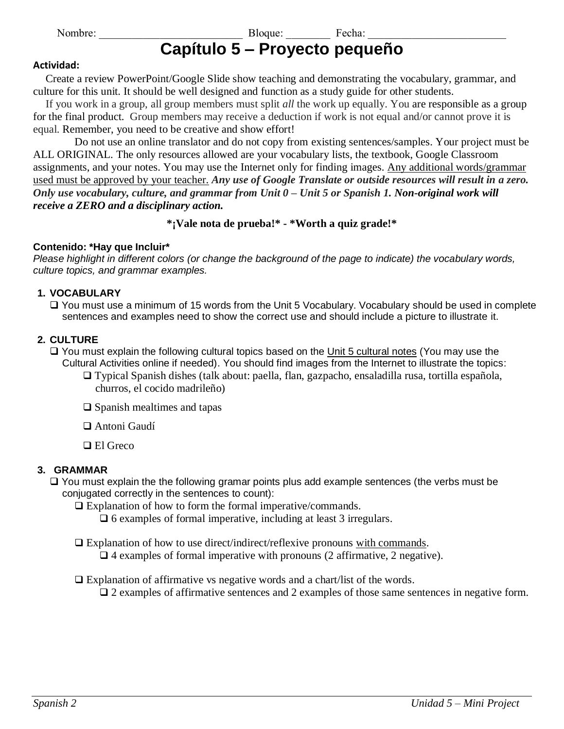## Nombre: The Bloque: Electric Recha: Exercise Security Security Security Security Security Security Security Security Security Security Security Security Security Security Security Security Security Security Security Securi **Capítulo 5 – Proyecto pequeño**

#### **Actividad:**

Create a review PowerPoint/Google Slide show teaching and demonstrating the vocabulary, grammar, and culture for this unit. It should be well designed and function as a study guide for other students.

If you work in a group, all group members must split *all* the work up equally. You are responsible as a group for the final product. Group members may receive a deduction if work is not equal and/or cannot prove it is equal. Remember, you need to be creative and show effort!

Do not use an online translator and do not copy from existing sentences/samples. Your project must be ALL ORIGINAL. The only resources allowed are your vocabulary lists, the textbook, Google Classroom assignments, and your notes. You may use the Internet only for finding images. Any additional words/grammar used must be approved by your teacher. *Any use of Google Translate or outside resources will result in a zero. Only use vocabulary, culture, and grammar from Unit 0 – Unit 5 or Spanish 1. Non-original work will receive a ZERO and a disciplinary action.*

## **\*¡Vale nota de prueba!\* - \*Worth a quiz grade!\***

## **Contenido: \*Hay que Incluir\***

*Please highlight in different colors (or change the background of the page to indicate) the vocabulary words, culture topics, and grammar examples.*

#### **1. VOCABULARY**

❑ You must use a minimum of 15 words from the Unit 5 Vocabulary. Vocabulary should be used in complete sentences and examples need to show the correct use and should include a picture to illustrate it.

#### **2. CULTURE**

❑ You must explain the following cultural topics based on the Unit 5 cultural notes (You may use the Cultural Activities online if needed). You should find images from the Internet to illustrate the topics:

- ❑ Typical Spanish dishes (talk about: paella, flan, gazpacho, ensaladilla rusa, tortilla española, churros, el cocido madrileño)
- ❑ Spanish mealtimes and tapas
- ❑ Antoni Gaudí
- ❑ El Greco

#### **3. GRAMMAR**

❑ You must explain the the following gramar points plus add example sentences (the verbs must be conjugated correctly in the sentences to count):

❑ Explanation of how to form the formal imperative/commands.

❑ 6 examples of formal imperative, including at least 3 irregulars.

- ❑ Explanation of how to use direct/indirect/reflexive pronouns with commands. ❑ 4 examples of formal imperative with pronouns (2 affirmative, 2 negative).
- ❑ Explanation of affirmative vs negative words and a chart/list of the words. ❑ 2 examples of affirmative sentences and 2 examples of those same sentences in negative form.